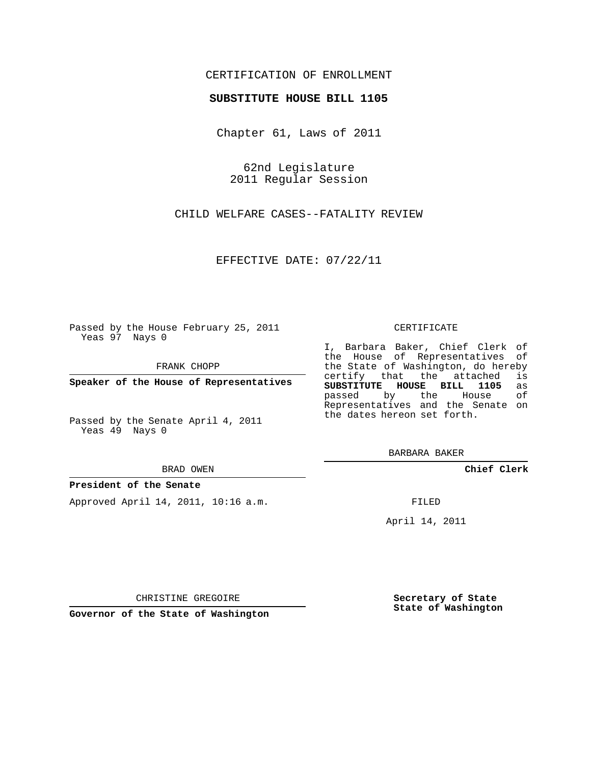## CERTIFICATION OF ENROLLMENT

## **SUBSTITUTE HOUSE BILL 1105**

Chapter 61, Laws of 2011

62nd Legislature 2011 Regular Session

CHILD WELFARE CASES--FATALITY REVIEW

EFFECTIVE DATE: 07/22/11

Passed by the House February 25, 2011 Yeas 97 Nays 0

FRANK CHOPP

**Speaker of the House of Representatives**

Passed by the Senate April 4, 2011 Yeas 49 Nays 0

#### BRAD OWEN

## **President of the Senate**

Approved April 14, 2011, 10:16 a.m.

#### CERTIFICATE

I, Barbara Baker, Chief Clerk of the House of Representatives of the State of Washington, do hereby<br>certify that the attached is certify that the attached **SUBSTITUTE HOUSE BILL 1105** as passed by the House Representatives and the Senate on the dates hereon set forth.

BARBARA BAKER

**Chief Clerk**

FILED

April 14, 2011

CHRISTINE GREGOIRE

**Governor of the State of Washington**

**Secretary of State State of Washington**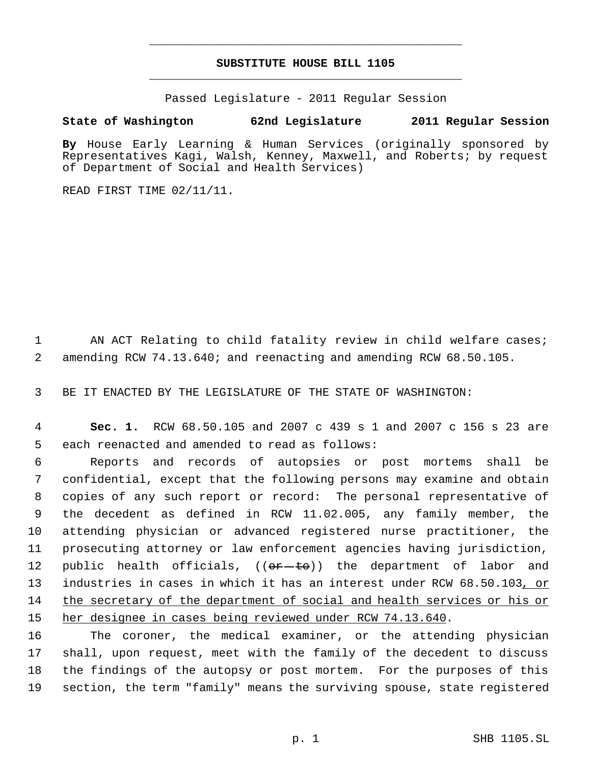# **SUBSTITUTE HOUSE BILL 1105** \_\_\_\_\_\_\_\_\_\_\_\_\_\_\_\_\_\_\_\_\_\_\_\_\_\_\_\_\_\_\_\_\_\_\_\_\_\_\_\_\_\_\_\_\_

\_\_\_\_\_\_\_\_\_\_\_\_\_\_\_\_\_\_\_\_\_\_\_\_\_\_\_\_\_\_\_\_\_\_\_\_\_\_\_\_\_\_\_\_\_

Passed Legislature - 2011 Regular Session

# **State of Washington 62nd Legislature 2011 Regular Session**

**By** House Early Learning & Human Services (originally sponsored by Representatives Kagi, Walsh, Kenney, Maxwell, and Roberts; by request of Department of Social and Health Services)

READ FIRST TIME 02/11/11.

1 AN ACT Relating to child fatality review in child welfare cases; 2 amending RCW 74.13.640; and reenacting and amending RCW 68.50.105.

3 BE IT ENACTED BY THE LEGISLATURE OF THE STATE OF WASHINGTON:

 4 **Sec. 1.** RCW 68.50.105 and 2007 c 439 s 1 and 2007 c 156 s 23 are 5 each reenacted and amended to read as follows:

 Reports and records of autopsies or post mortems shall be confidential, except that the following persons may examine and obtain copies of any such report or record: The personal representative of the decedent as defined in RCW 11.02.005, any family member, the attending physician or advanced registered nurse practitioner, the prosecuting attorney or law enforcement agencies having jurisdiction, 12 public health officials,  $((\theta + \theta)^2)$  the department of labor and 13 industries in cases in which it has an interest under RCW 68.50.103, or 14 the secretary of the department of social and health services or his or her designee in cases being reviewed under RCW 74.13.640.

 The coroner, the medical examiner, or the attending physician shall, upon request, meet with the family of the decedent to discuss the findings of the autopsy or post mortem. For the purposes of this section, the term "family" means the surviving spouse, state registered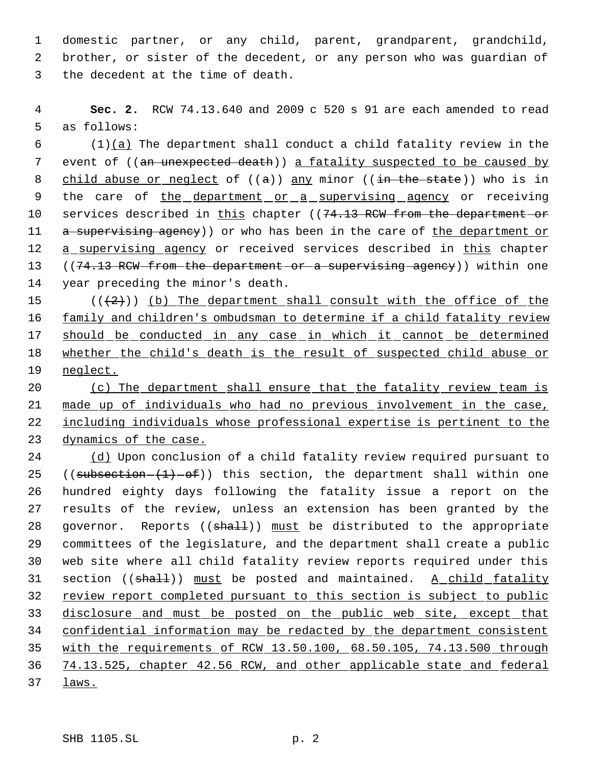domestic partner, or any child, parent, grandparent, grandchild, brother, or sister of the decedent, or any person who was guardian of the decedent at the time of death.

 **Sec. 2.** RCW 74.13.640 and 2009 c 520 s 91 are each amended to read as follows:

 (1)(a) The department shall conduct a child fatality review in the 7 event of ((an unexpected death)) a fatality suspected to be caused by 8 child abuse or neglect of  $((a))$  any minor  $((\text{in the state}))$  who is in 9 the care of the department or a supervising agency or receiving 10 services described in this chapter ((74.13 RCW from the department or 11 a supervising agency)) or who has been in the care of the department or 12 a supervising agency or received services described in this chapter 13 ((74.13 RCW from the department or a supervising agency)) within one year preceding the minor's death.

 $((+2)^n)$  (b) The department shall consult with the office of the 16 family and children's ombudsman to determine if a child fatality review 17 should be conducted in any case in which it cannot be determined whether the child's death is the result of suspected child abuse or 19 neglect.

 (c) The department shall ensure that the fatality review team is made up of individuals who had no previous involvement in the case, including individuals whose professional expertise is pertinent to the dynamics of the case.

 (d) Upon conclusion of a child fatality review required pursuant to 25 ((subsection  $(1)$  -of)) this section, the department shall within one hundred eighty days following the fatality issue a report on the results of the review, unless an extension has been granted by the 28 governor. Reports ((shall)) must be distributed to the appropriate committees of the legislature, and the department shall create a public web site where all child fatality review reports required under this 31 section (( $shall$ )) must be posted and maintained. A child fatality 32 review report completed pursuant to this section is subject to public disclosure and must be posted on the public web site, except that confidential information may be redacted by the department consistent with the requirements of RCW 13.50.100, 68.50.105, 74.13.500 through 74.13.525, chapter 42.56 RCW, and other applicable state and federal laws.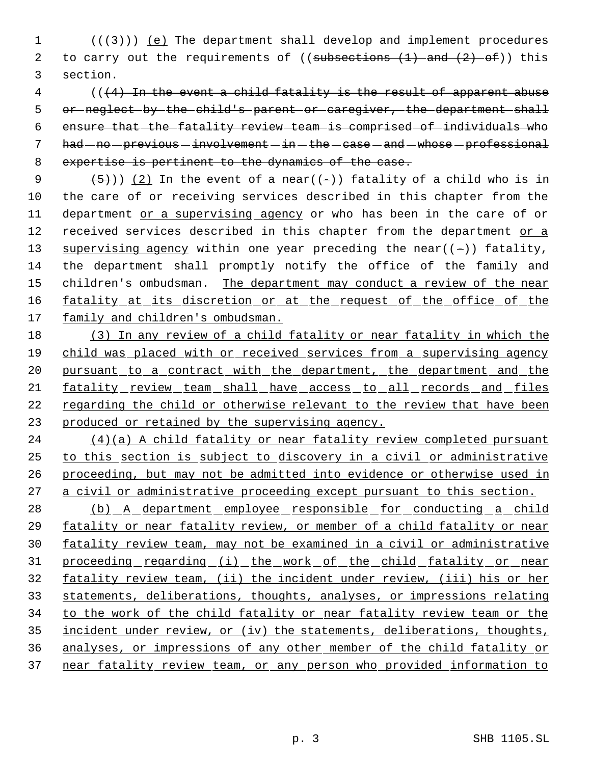$1$  ( $(\frac{1}{3})$ ) <u>(e)</u> The department shall develop and implement procedures 2 to carry out the requirements of ((subsections  $(1)$  and  $(2)$  of)) this 3 section.

 (((4) In the event a child fatality is the result of apparent abuse or neglect by the child's parent or caregiver, the department shall ensure that the fatality review team is comprised of individuals who had  $-$  no  $-$  previous  $-$  involvement  $-$  in  $-$  the  $-$  case  $-$  and  $-$  whose  $-$  professional 8 expertise is pertinent to the dynamics of the case.

9  $(5)$ )) (2) In the event of a near((-)) fatality of a child who is in 10 the care of or receiving services described in this chapter from the 11 department or a supervising agency or who has been in the care of or 12 received services described in this chapter from the department or a 13 supervising agency within one year preceding the near( $(-)$ ) fatality, 14 the department shall promptly notify the office of the family and 15 children's ombudsman. The department may conduct a review of the near 16 fatality at its discretion or at the request of the office of the 17 family and children's ombudsman.

18 (3) In any review of a child fatality or near fatality in which the 19 child was placed with or received services from a supervising agency 20 pursuant to a contract with the department, the department and the 21 fatality review team shall have access to all records and files 22 regarding the child or otherwise relevant to the review that have been 23 produced or retained by the supervising agency.

 (4)(a) A child fatality or near fatality review completed pursuant to this section is subject to discovery in a civil or administrative proceeding, but may not be admitted into evidence or otherwise used in 27 a civil or administrative proceeding except pursuant to this section.

28 (b) A department employee responsible for conducting a child fatality or near fatality review, or member of a child fatality or near fatality review team, may not be examined in a civil or administrative 31 proceeding regarding (i) the work of the child fatality or near fatality review team, (ii) the incident under review, (iii) his or her statements, deliberations, thoughts, analyses, or impressions relating 34 to the work of the child fatality or near fatality review team or the incident under review, or (iv) the statements, deliberations, thoughts, analyses, or impressions of any other member of the child fatality or near fatality review team, or any person who provided information to